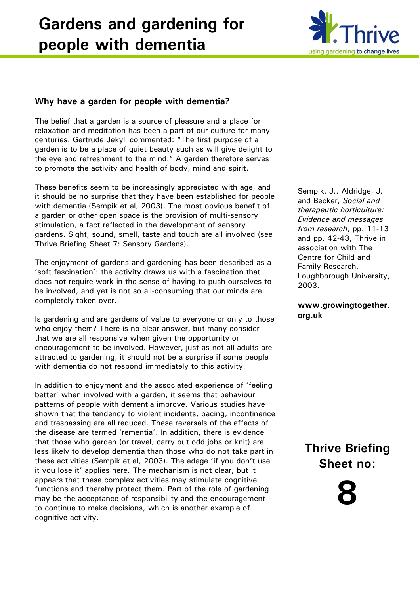# **Gardens and gardening for people with dementia**



## **Why have a garden for people with dementia?**

The belief that a garden is a source of pleasure and a place for relaxation and meditation has been a part of our culture for many centuries. Gertrude Jekyll commented: "The first purpose of a garden is to be a place of quiet beauty such as will give delight to the eye and refreshment to the mind." A garden therefore serves to promote the activity and health of body, mind and spirit.

These benefits seem to be increasingly appreciated with age, and it should be no surprise that they have been established for people with dementia (Sempik et al, 2003). The most obvious benefit of a garden or other open space is the provision of multi-sensory stimulation, a fact reflected in the development of sensory gardens. Sight, sound, smell, taste and touch are all involved (see Thrive Briefing Sheet 7: Sensory Gardens).

The enjoyment of gardens and gardening has been described as a 'soft fascination': the activity draws us with a fascination that does not require work in the sense of having to push ourselves to be involved, and yet is not so all-consuming that our minds are completely taken over.

Is gardening and are gardens of value to everyone or only to those who enjoy them? There is no clear answer, but many consider that we are all responsive when given the opportunity or encouragement to be involved. However, just as not all adults are attracted to gardening, it should not be a surprise if some people with dementia do not respond immediately to this activity.

In addition to enjoyment and the associated experience of 'feeling better' when involved with a garden, it seems that behaviour patterns of people with dementia improve. Various studies have shown that the tendency to violent incidents, pacing, incontinence and trespassing are all reduced. These reversals of the effects of the disease are termed 'rementia'. In addition, there is evidence that those who garden (or travel, carry out odd jobs or knit) are less likely to develop dementia than those who do not take part in these activities (Sempik et al, 2003). The adage 'if you don't use it you lose it' applies here. The mechanism is not clear, but it appears that these complex activities may stimulate cognitive functions and thereby protect them. Part of the role of gardening may be the acceptance of responsibility and the encouragement to continue to make decisions, which is another example of cognitive activity.

Sempik, J., Aldridge, J. and Becker, *Social and therapeutic horticulture: Evidence and messages from research*, pp. 11-13 and pp. 42-43, Thrive in association with The Centre for Child and Family Research, Loughborough University, 2003.

**www.growingtogether. org.uk**

**Thrive Briefing Sheet no:**

**8**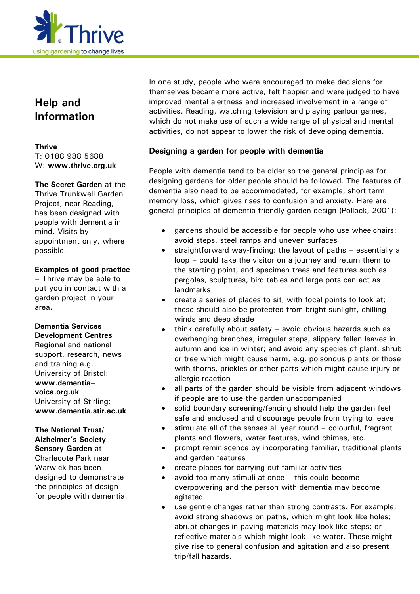

# **Help and Information**

#### **Thrive** T: 0188 988 5688 W: **[www.thrive.org.uk](http://www.thrive.org.uk/)**

**The Secret Garden** at the Thrive Trunkwell Garden Project, near Reading, has been designed with people with dementia in mind. Visits by appointment only, where possible.

#### **Examples of good practice**

– Thrive may be able to put you in contact with a garden project in your area.

#### **Dementia Services Development Centres**

Regional and national support, research, news and training e.g. University of Bristol: **www.dementia– voice.org.uk** University of Stirling: **www.dementia.stir.ac.uk**

## **The National Trust/ Alzheimer's Society Sensory Garden** at Charlecote Park near Warwick has been designed to demonstrate

the principles of design for people with dementia. In one study, people who were encouraged to make decisions for themselves became more active, felt happier and were judged to have improved mental alertness and increased involvement in a range of activities. Reading, watching television and playing parlour games, which do not make use of such a wide range of physical and mental activities, do not appear to lower the risk of developing dementia.

#### **Designing a garden for people with dementia**

People with dementia tend to be older so the general principles for designing gardens for older people should be followed. The features of dementia also need to be accommodated, for example, short term memory loss, which gives rises to confusion and anxiety. Here are general principles of dementia-friendly garden design (Pollock, 2001):

- gardens should be accessible for people who use wheelchairs: avoid steps, steel ramps and uneven surfaces
- straightforward way-finding: the layout of paths essentially a loop – could take the visitor on a journey and return them to the starting point, and specimen trees and features such as pergolas, sculptures, bird tables and large pots can act as landmarks
- create a series of places to sit, with focal points to look at; these should also be protected from bright sunlight, chilling winds and deep shade
- think carefully about safety avoid obvious hazards such as overhanging branches, irregular steps, slippery fallen leaves in autumn and ice in winter; and avoid any species of plant, shrub or tree which might cause harm, e.g. poisonous plants or those with thorns, prickles or other parts which might cause injury or allergic reaction
- all parts of the garden should be visible from adjacent windows if people are to use the garden unaccompanied
- solid boundary screening/fencing should help the garden feel safe and enclosed and discourage people from trying to leave
- stimulate all of the senses all year round colourful, fragrant plants and flowers, water features, wind chimes, etc.
- prompt reminiscence by incorporating familiar, traditional plants and garden features
- create places for carrying out familiar activities
- avoid too many stimuli at once this could become overpowering and the person with dementia may become agitated
- use gentle changes rather than strong contrasts. For example, avoid strong shadows on paths, which might look like holes; abrupt changes in paving materials may look like steps; or reflective materials which might look like water. These might give rise to general confusion and agitation and also present trip/fall hazards.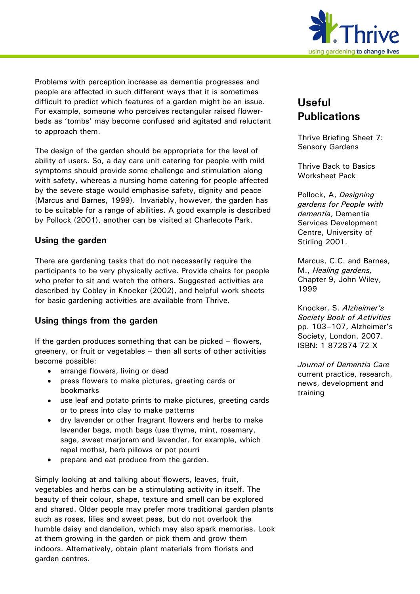

Problems with perception increase as dementia progresses and people are affected in such different ways that it is sometimes difficult to predict which features of a garden might be an issue. For example, someone who perceives rectangular raised flowerbeds as 'tombs' may become confused and agitated and reluctant to approach them.

The design of the garden should be appropriate for the level of ability of users. So, a day care unit catering for people with mild symptoms should provide some challenge and stimulation along with safety, whereas a nursing home catering for people affected by the severe stage would emphasise safety, dignity and peace (Marcus and Barnes, 1999). Invariably, however, the garden has to be suitable for a range of abilities. A good example is described by Pollock (2001), another can be visited at Charlecote Park.

#### **Using the garden**

There are gardening tasks that do not necessarily require the participants to be very physically active. Provide chairs for people who prefer to sit and watch the others. Suggested activities are described by Cobley in Knocker (2002), and helpful work sheets for basic gardening activities are available from Thrive.

## **Using things from the garden**

If the garden produces something that can be picked – flowers, greenery, or fruit or vegetables – then all sorts of other activities become possible:

- arrange flowers, living or dead
- press flowers to make pictures, greeting cards or bookmarks
- use leaf and potato prints to make pictures, greeting cards or to press into clay to make patterns
- dry lavender or other fragrant flowers and herbs to make lavender bags, moth bags (use thyme, mint, rosemary, sage, sweet marjoram and lavender, for example, which repel moths), herb pillows or pot pourri
- prepare and eat produce from the garden.

Simply looking at and talking about flowers, leaves, fruit, vegetables and herbs can be a stimulating activity in itself. The beauty of their colour, shape, texture and smell can be explored and shared. Older people may prefer more traditional garden plants such as roses, lilies and sweet peas, but do not overlook the humble daisy and dandelion, which may also spark memories. Look at them growing in the garden or pick them and grow them indoors. Alternatively, obtain plant materials from florists and garden centres.

# **Useful Publications**

Thrive Briefing Sheet 7: Sensory Gardens

Thrive Back to Basics Worksheet Pack

Pollock, A, *Designing gardens for People with dementia*, Dementia Services Development Centre, University of Stirling 2001.

Marcus, C.C. and Barnes, M., *Healing gardens,*  Chapter 9, John Wiley, 1999

Knocker, S. *Alzheimer's Society Book of Activities*  pp. 103–107, Alzheimer's Society, London, 2007. ISBN: 1 872874 72 X

*Journal of Dementia Care* current practice, research, news, development and training